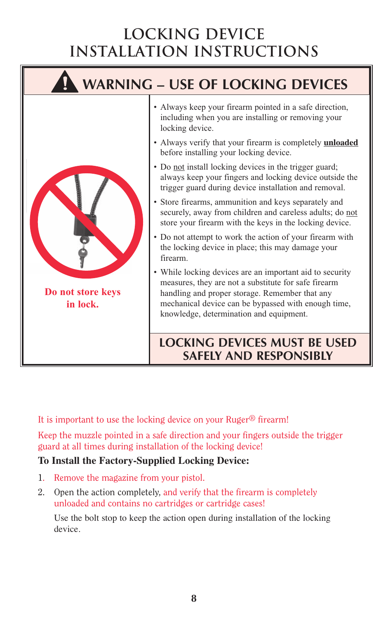## **LOCKING DEVICE INSTALLATION INSTRUCTIONS**



It is important to use the locking device on your Ruger® firearm!

Keep the muzzle pointed in a safe direction and your fingers outside the trigger guard at all times during installation of the locking device!

## **To Install the Factory-Supplied Locking Device:**

- 1. Remove the magazine from your pistol.
- 2. Open the action completely, and verify that the firearm is completely unloaded and contains no cartridges or cartridge cases!

Use the bolt stop to keep the action open during installation of the locking device.